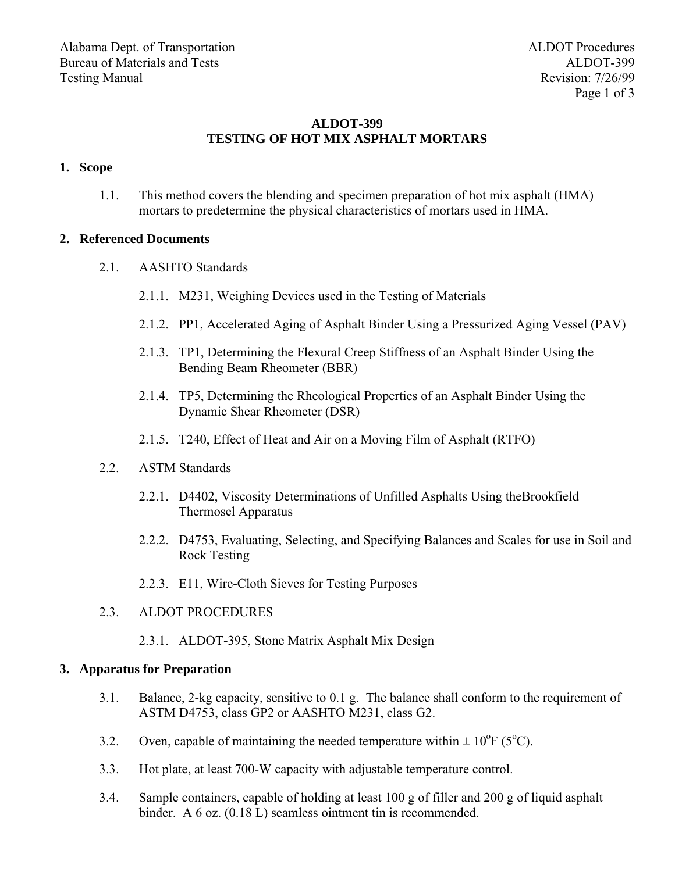## **ALDOT-399 TESTING OF HOT MIX ASPHALT MORTARS**

## **1. Scope**

1.1. This method covers the blending and specimen preparation of hot mix asphalt (HMA) mortars to predetermine the physical characteristics of mortars used in HMA.

### **2. Referenced Documents**

- 2.1. AASHTO Standards
	- 2.1.1. M231, Weighing Devices used in the Testing of Materials
	- 2.1.2. PP1, Accelerated Aging of Asphalt Binder Using a Pressurized Aging Vessel (PAV)
	- 2.1.3. TP1, Determining the Flexural Creep Stiffness of an Asphalt Binder Using the Bending Beam Rheometer (BBR)
	- 2.1.4. TP5, Determining the Rheological Properties of an Asphalt Binder Using the Dynamic Shear Rheometer (DSR)
	- 2.1.5. T240, Effect of Heat and Air on a Moving Film of Asphalt (RTFO)
- 2.2. ASTM Standards
	- 2.2.1. D4402, Viscosity Determinations of Unfilled Asphalts Using theBrookfield Thermosel Apparatus
	- 2.2.2. D4753, Evaluating, Selecting, and Specifying Balances and Scales for use in Soil and Rock Testing
	- 2.2.3. E11, Wire-Cloth Sieves for Testing Purposes
- 2.3. ALDOT PROCEDURES
	- 2.3.1. [ALDOT-395, Stone Matrix Asphalt Mix Design](#page--1-0)

#### **3. Apparatus for Preparation**

- 3.1. Balance, 2-kg capacity, sensitive to 0.1 g. The balance shall conform to the requirement of ASTM D4753, class GP2 or AASHTO M231, class G2.
- 3.2. Oven, capable of maintaining the needed temperature within  $\pm 10^{\circ}F$  (5<sup>o</sup>C).
- 3.3. Hot plate, at least 700-W capacity with adjustable temperature control.
- 3.4. Sample containers, capable of holding at least 100 g of filler and 200 g of liquid asphalt binder. A 6 oz. (0.18 L) seamless ointment tin is recommended.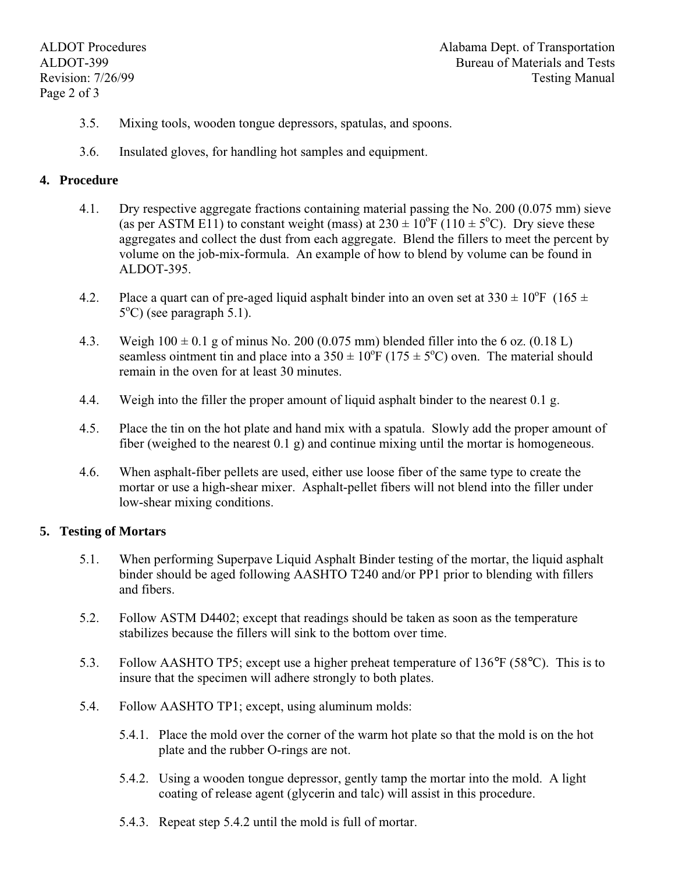- 3.5. Mixing tools, wooden tongue depressors, spatulas, and spoons.
- 3.6. Insulated gloves, for handling hot samples and equipment.

## **4. Procedure**

- 4.1. Dry respective aggregate fractions containing material passing the No. 200 (0.075 mm) sieve (as per ASTM E11) to constant weight (mass) at  $230 \pm 10^{o}F$  (110  $\pm$  5<sup>o</sup>C). Dry sieve these aggregates and collect the dust from each aggregate. Blend the fillers to meet the percent by volume on the job-mix-formula. An example of how to blend by volume can be found in ALDOT-395.
- 4.2. Place a quart can of pre-aged liquid asphalt binder into an oven set at  $330 \pm 10^{6}$  F (165  $\pm$ 5<sup>o</sup>C) (see paragraph 5.1).
- 4.3. Weigh  $100 \pm 0.1$  g of minus No. 200 (0.075 mm) blended filler into the 6 oz. (0.18 L) seamless ointment tin and place into a  $350 \pm 10^{6}$ F (175  $\pm 5^{6}$ C) oven. The material should remain in the oven for at least 30 minutes.
- 4.4. Weigh into the filler the proper amount of liquid asphalt binder to the nearest 0.1 g.
- 4.5. Place the tin on the hot plate and hand mix with a spatula. Slowly add the proper amount of fiber (weighed to the nearest  $(0.1 \text{ g})$  and continue mixing until the mortar is homogeneous.
- 4.6. When asphalt-fiber pellets are used, either use loose fiber of the same type to create the mortar or use a high-shear mixer. Asphalt-pellet fibers will not blend into the filler under low-shear mixing conditions.

## **5. Testing of Mortars**

- 5.1. When performing Superpave Liquid Asphalt Binder testing of the mortar, the liquid asphalt binder should be aged following AASHTO T240 and/or PP1 prior to blending with fillers and fibers.
- 5.2. Follow ASTM D4402; except that readings should be taken as soon as the temperature stabilizes because the fillers will sink to the bottom over time.
- 5.3. Follow AASHTO TP5; except use a higher preheat temperature of 136°F (58°C). This is to insure that the specimen will adhere strongly to both plates.
- 5.4. Follow AASHTO TP1; except, using aluminum molds:
	- 5.4.1. Place the mold over the corner of the warm hot plate so that the mold is on the hot plate and the rubber O-rings are not.
	- 5.4.2. Using a wooden tongue depressor, gently tamp the mortar into the mold. A light coating of release agent (glycerin and talc) will assist in this procedure.
	- 5.4.3. Repeat step 5.4.2 until the mold is full of mortar.